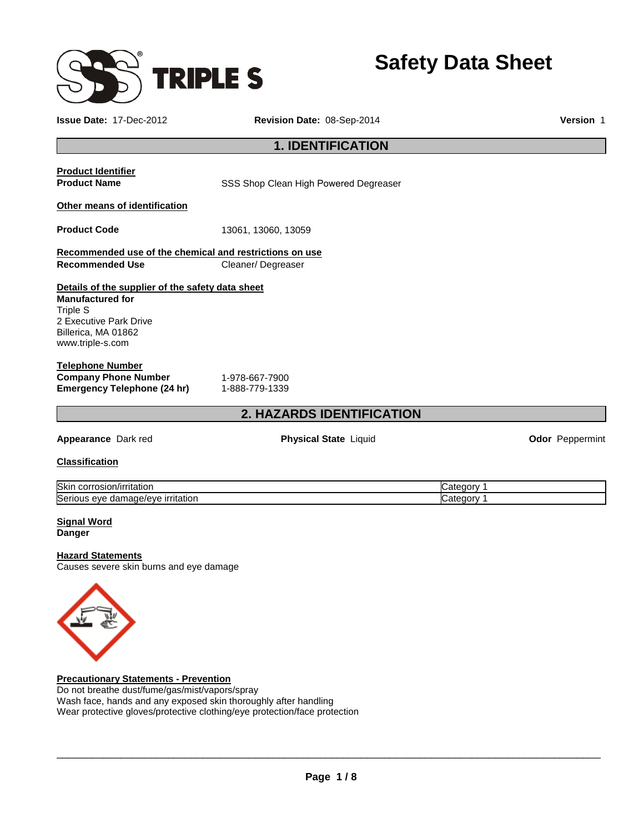

**Safety Data Sheet** 

| <b>Issue Date: 17-Dec-2012</b><br>Revision Date: 08-Sep-2014 |                                                                                                                               |                                                                    |  |  |  |
|--------------------------------------------------------------|-------------------------------------------------------------------------------------------------------------------------------|--------------------------------------------------------------------|--|--|--|
| <b>1. IDENTIFICATION</b>                                     |                                                                                                                               |                                                                    |  |  |  |
|                                                              |                                                                                                                               |                                                                    |  |  |  |
|                                                              |                                                                                                                               |                                                                    |  |  |  |
| 13061, 13060, 13059                                          |                                                                                                                               |                                                                    |  |  |  |
|                                                              |                                                                                                                               |                                                                    |  |  |  |
| Cleaner/Degreaser                                            |                                                                                                                               |                                                                    |  |  |  |
|                                                              |                                                                                                                               |                                                                    |  |  |  |
|                                                              |                                                                                                                               |                                                                    |  |  |  |
| 1-888-779-1339                                               |                                                                                                                               |                                                                    |  |  |  |
|                                                              |                                                                                                                               |                                                                    |  |  |  |
| <b>Physical State Liquid</b>                                 |                                                                                                                               | <b>Odor</b> Peppermint                                             |  |  |  |
|                                                              |                                                                                                                               |                                                                    |  |  |  |
|                                                              | Category 1                                                                                                                    |                                                                    |  |  |  |
|                                                              | Category 1                                                                                                                    |                                                                    |  |  |  |
|                                                              | Recommended use of the chemical and restrictions on use<br>Details of the supplier of the safety data sheet<br>1-978-667-7900 | SSS Shop Clean High Powered Degreaser<br>2. HAZARDS IDENTIFICATION |  |  |  |

### **Signal Word Danger**

# **Hazard Statements**

Causes severe skin burns and eye damage



**Precautionary Statements - Prevention** Do not breathe dust/fume/gas/mist/vapors/spray Wash face, hands and any exposed skin thoroughly after handling Wear protective gloves/protective clothing/eye protection/face protection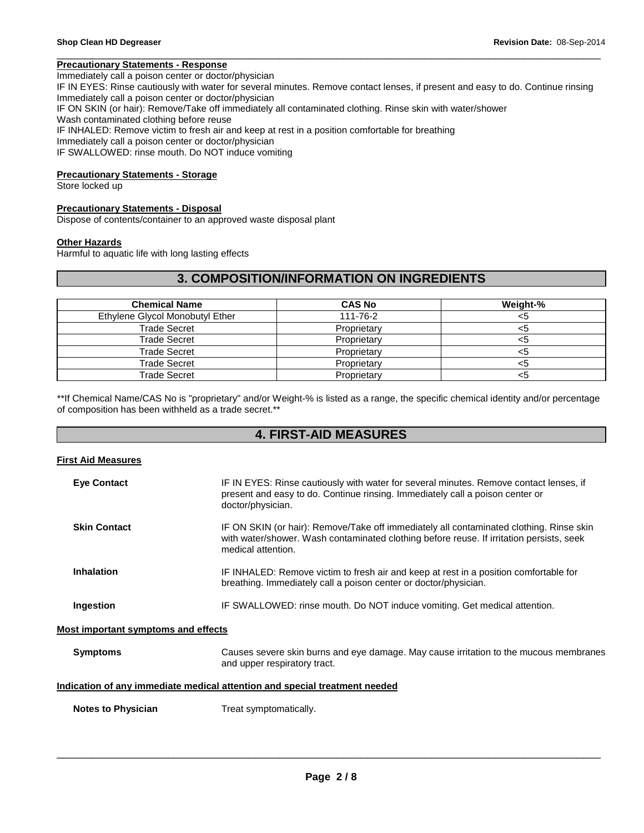# **Precautionary Statements - Response**

Immediately call a poison center or doctor/physician IF IN EYES: Rinse cautiously with water for several minutes. Remove contact lenses, if present and easy to do. Continue rinsing Immediately call a poison center or doctor/physician IF ON SKIN (or hair): Remove/Take off immediately all contaminated clothing. Rinse skin with water/shower Wash contaminated clothing before reuse IF INHALED: Remove victim to fresh air and keep at rest in a position comfortable for breathing Immediately call a poison center or doctor/physician IF SWALLOWED: rinse mouth. Do NOT induce vomiting

\_\_\_\_\_\_\_\_\_\_\_\_\_\_\_\_\_\_\_\_\_\_\_\_\_\_\_\_\_\_\_\_\_\_\_\_\_\_\_\_\_\_\_\_\_\_\_\_\_\_\_\_\_\_\_\_\_\_\_\_\_\_\_\_\_\_\_\_\_\_\_\_\_\_\_\_\_\_\_\_\_\_\_\_\_\_\_\_\_\_\_\_\_

### **Precautionary Statements - Storage**

Store locked up

### **Precautionary Statements - Disposal**

Dispose of contents/container to an approved waste disposal plant

### **Other Hazards**

Harmful to aquatic life with long lasting effects

# **3. COMPOSITION/INFORMATION ON INGREDIENTS**

| <b>Chemical Name</b>            | <b>CAS No</b> | Weight-% |
|---------------------------------|---------------|----------|
| Ethylene Glycol Monobutyl Ether | 111-76-2      | <ວ       |
| Trade Secret                    | Proprietary   | <ວ       |
| Trade Secret                    | Proprietary   | <ວ       |
| Trade Secret                    | Proprietary   | ה:>      |
| Trade Secret                    | Proprietary   | ເລ       |
| Trade Secret                    | Proprietary   |          |

\*\*If Chemical Name/CAS No is "proprietary" and/or Weight-% is listed as a range, the specific chemical identity and/or percentage of composition has been withheld as a trade secret.\*\*

# **4. FIRST-AID MEASURES**

### **First Aid Measures**

| <b>Eye Contact</b>                         | IF IN EYES: Rinse cautiously with water for several minutes. Remove contact lenses, if<br>present and easy to do. Continue rinsing. Immediately call a poison center or<br>doctor/physician.                                     |
|--------------------------------------------|----------------------------------------------------------------------------------------------------------------------------------------------------------------------------------------------------------------------------------|
| <b>Skin Contact</b>                        | IF ON SKIN (or hair): Remove/Take off immediately all contaminated clothing. Rinse skin<br>with water/shower. Wash contaminated clothing before reuse. If irritation persists, seek<br>medical attention.                        |
| <b>Inhalation</b>                          | IF INHALED: Remove victim to fresh air and keep at rest in a position comfortable for<br>breathing. Immediately call a poison center or doctor/physician.                                                                        |
| Ingestion                                  | IF SWALLOWED: rinse mouth. Do NOT induce vomiting. Get medical attention.                                                                                                                                                        |
| <b>Most important symptoms and effects</b> |                                                                                                                                                                                                                                  |
| <b>Symptoms</b>                            | Causes severe skin burns and eye damage. May cause irritation to the mucous membranes<br>and upper respiratory tract.                                                                                                            |
|                                            | $\mathbf{r}$ , and the set of the set of the set of the set of the set of the set of the set of the set of the set of the set of the set of the set of the set of the set of the set of the set of the set of the set of the set |

### **Indication of any immediate medical attention and special treatment needed**

**Notes to Physician Treat symptomatically.**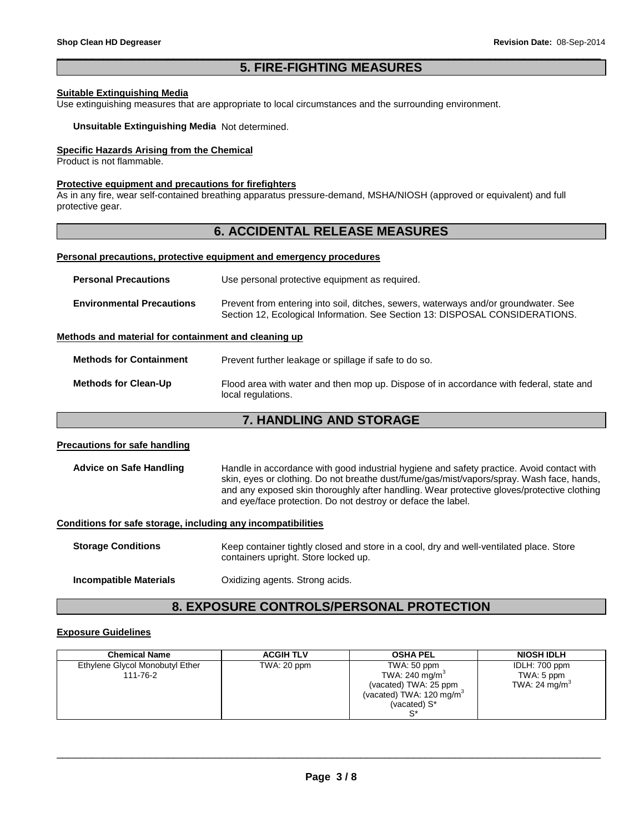# \_\_\_\_\_\_\_\_\_\_\_\_\_\_\_\_\_\_\_\_\_\_\_\_\_\_\_\_\_\_\_\_\_\_\_\_\_\_\_\_\_\_\_\_\_\_\_\_\_\_\_\_\_\_\_\_\_\_\_\_\_\_\_\_\_\_\_\_\_\_\_\_\_\_\_\_\_\_\_\_\_\_\_\_\_\_\_\_\_\_\_\_\_ **5. FIRE-FIGHTING MEASURES**

### **Suitable Extinguishing Media**

Use extinguishing measures that are appropriate to local circumstances and the surrounding environment.

### **Unsuitable Extinguishing Media** Not determined.

# **Specific Hazards Arising from the Chemical**

Product is not flammable.

### **Protective equipment and precautions for firefighters**

As in any fire, wear self-contained breathing apparatus pressure-demand, MSHA/NIOSH (approved or equivalent) and full protective gear.

# **6. ACCIDENTAL RELEASE MEASURES**

### **Personal precautions, protective equipment and emergency procedures**

| <b>Personal Precautions</b>                          | Use personal protective equipment as required.                                                                                                                      |
|------------------------------------------------------|---------------------------------------------------------------------------------------------------------------------------------------------------------------------|
| <b>Environmental Precautions</b>                     | Prevent from entering into soil, ditches, sewers, waterways and/or groundwater. See<br>Section 12, Ecological Information. See Section 13: DISPOSAL CONSIDERATIONS. |
| Methods and material for containment and cleaning up |                                                                                                                                                                     |
| <b>Methods for Containment</b>                       | Prevent further leakage or spillage if safe to do so.                                                                                                               |

**Methods for Clean-Up** Flood area with water and then mop up. Dispose of in accordance with federal, state and local regulations.

# **7. HANDLING AND STORAGE**

### **Precautions for safe handling**

**Advice on Safe Handling** Handle in accordance with good industrial hygiene and safety practice. Avoid contact with skin, eyes or clothing. Do not breathe dust/fume/gas/mist/vapors/spray. Wash face, hands, and any exposed skin thoroughly after handling. Wear protective gloves/protective clothing and eye/face protection. Do not destroy or deface the label.

#### **Conditions for safe storage, including any incompatibilities**

| <b>Storage Conditions</b> | Keep container tightly closed and store in a cool, dry and well-ventilated place. Store<br>containers upright. Store locked up. |
|---------------------------|---------------------------------------------------------------------------------------------------------------------------------|
|                           |                                                                                                                                 |

**Incompatible Materials Canadia** Oxidizing agents. Strong acids.

# **8. EXPOSURE CONTROLS/PERSONAL PROTECTION**

### **Exposure Guidelines**

| <b>Chemical Name</b>            | <b>ACGIH TLV</b> | <b>OSHA PEL</b>                      | <b>NIOSH IDLH</b> |
|---------------------------------|------------------|--------------------------------------|-------------------|
| Ethylene Glycol Monobutyl Ether | TWA: 20 ppm      | TWA: 50 ppm                          | IDLH: 700 ppm     |
| 111-76-2                        |                  | TWA: 240 mg/m <sup>3</sup>           | TWA: 5 ppm        |
|                                 |                  | (vacated) TWA: 25 ppm                | TWA: 24 $mq/m3$   |
|                                 |                  | (vacated) TWA: 120 mg/m <sup>3</sup> |                   |
|                                 |                  | (vacated) S*                         |                   |
|                                 |                  |                                      |                   |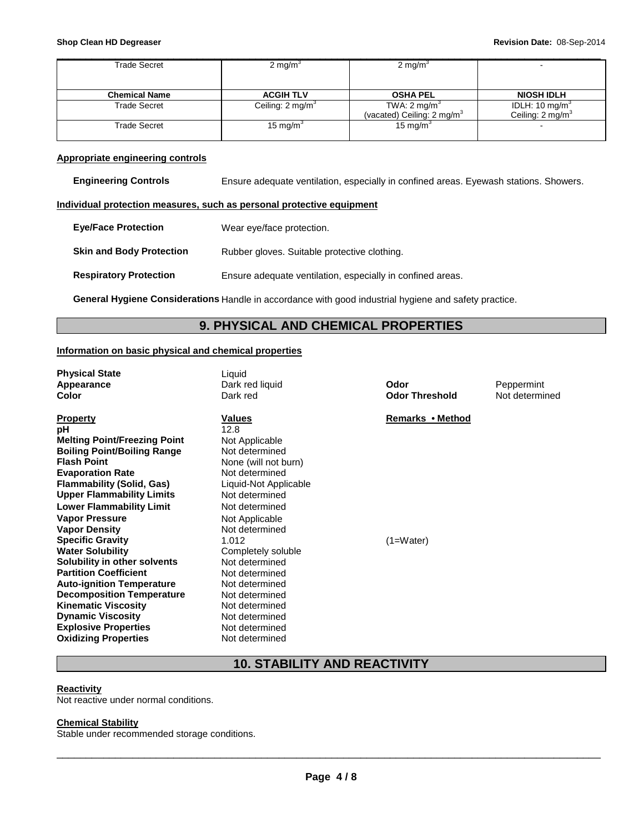| Trade Secret         | 2 mg/m <sup>3</sup>         | 2 mg/m $\textdegree$                   |                             |
|----------------------|-----------------------------|----------------------------------------|-----------------------------|
|                      |                             |                                        |                             |
|                      |                             |                                        |                             |
| <b>Chemical Name</b> | <b>ACGIH TLV</b>            | <b>OSHA PEL</b>                        | <b>NIOSH IDLH</b>           |
| <b>Trade Secret</b>  | Ceiling: $2 \text{ mg/m}^3$ | TWA: $2 \text{ mg/m}^3$                | IDLH: 10 mg/m <sup>3</sup>  |
|                      |                             | (vacated) Ceiling: 2 mg/m <sup>3</sup> | Ceiling: $2 \text{ mg/m}^3$ |
| Trade Secret         | 15 mg/m <sup>3</sup>        | 15 mg/m $3$                            |                             |
|                      |                             |                                        |                             |

### **Appropriate engineering controls**

**Engineering Controls** Ensure adequate ventilation, especially in confined areas. Eyewash stations. Showers.

### **Individual protection measures, such as personal protective equipment**

| <b>Eve/Face Protection</b>      | Wear eye/face protection.                                  |
|---------------------------------|------------------------------------------------------------|
| <b>Skin and Body Protection</b> | Rubber gloves. Suitable protective clothing.               |
| <b>Respiratory Protection</b>   | Ensure adequate ventilation, especially in confined areas. |

**General Hygiene Considerations** Handle in accordance with good industrial hygiene and safety practice.

# **9. PHYSICAL AND CHEMICAL PROPERTIES**

# **Information on basic physical and chemical properties**

| <b>Physical State</b><br>Appearance<br>Color                              | Liquid<br>Dark red liquid<br>Dark red | Odor<br><b>Odor Threshold</b> | Peppermint<br>Not determined |
|---------------------------------------------------------------------------|---------------------------------------|-------------------------------|------------------------------|
| <b>Property</b><br>pН                                                     | Values<br>12.8                        | Remarks • Method              |                              |
| <b>Melting Point/Freezing Point</b><br><b>Boiling Point/Boiling Range</b> | Not Applicable<br>Not determined      |                               |                              |
| <b>Flash Point</b>                                                        | None (will not burn)                  |                               |                              |
| <b>Evaporation Rate</b>                                                   | Not determined                        |                               |                              |
| Flammability (Solid, Gas)                                                 | Liquid-Not Applicable                 |                               |                              |
| Upper Flammability Limits                                                 | Not determined                        |                               |                              |
| Lower Flammability Limit                                                  | Not determined                        |                               |                              |
| Vapor Pressure                                                            | Not Applicable                        |                               |                              |
| <b>Vapor Density</b>                                                      | Not determined                        |                               |                              |
| <b>Specific Gravity</b>                                                   | 1.012                                 | $(1=Water)$                   |                              |
| Water Solubility                                                          | Completely soluble                    |                               |                              |
| Solubility in other solvents                                              | Not determined                        |                               |                              |
| <b>Partition Coefficient</b>                                              | Not determined                        |                               |                              |
| <b>Auto-ignition Temperature</b>                                          | Not determined                        |                               |                              |
| <b>Decomposition Temperature</b>                                          | Not determined<br>Not determined      |                               |                              |
| <b>Kinematic Viscosity</b><br><b>Dynamic Viscosity</b>                    | Not determined                        |                               |                              |
| <b>Explosive Properties</b>                                               | Not determined                        |                               |                              |
| <b>Oxidizing Properties</b>                                               | Not determined                        |                               |                              |

# **10. STABILITY AND REACTIVITY**

### **Reactivity**

Not reactive under normal conditions.

# **Chemical Stability**

Stable under recommended storage conditions.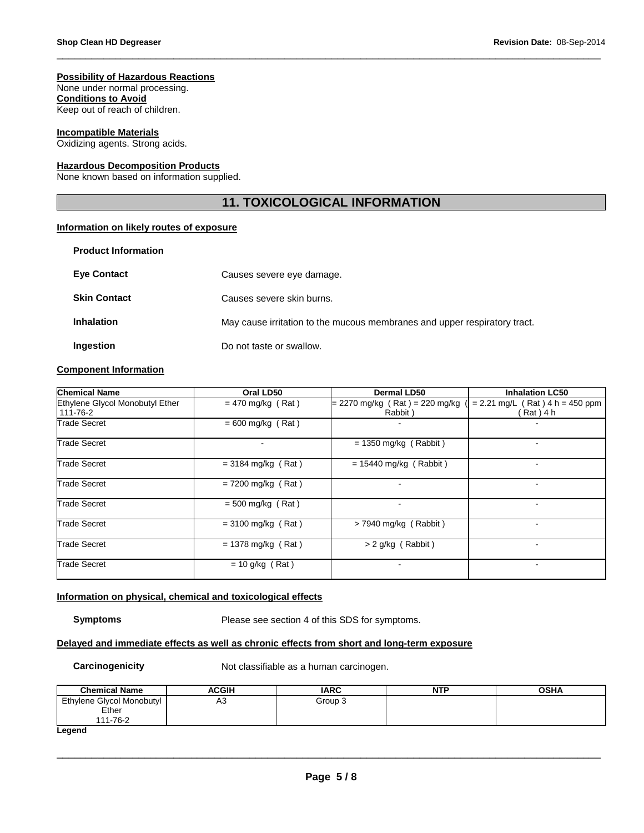### **Possibility of Hazardous Reactions**

None under normal processing.

**Conditions to Avoid** Keep out of reach of children.

### **Incompatible Materials**

Oxidizing agents. Strong acids.

### **Hazardous Decomposition Products**

None known based on information supplied.

# **11. TOXICOLOGICAL INFORMATION**

\_\_\_\_\_\_\_\_\_\_\_\_\_\_\_\_\_\_\_\_\_\_\_\_\_\_\_\_\_\_\_\_\_\_\_\_\_\_\_\_\_\_\_\_\_\_\_\_\_\_\_\_\_\_\_\_\_\_\_\_\_\_\_\_\_\_\_\_\_\_\_\_\_\_\_\_\_\_\_\_\_\_\_\_\_\_\_\_\_\_\_\_\_

# **Information on likely routes of exposure**

| <b>Product Information</b> |                                                                           |
|----------------------------|---------------------------------------------------------------------------|
| <b>Eye Contact</b>         | Causes severe eye damage.                                                 |
| <b>Skin Contact</b>        | Causes severe skin burns.                                                 |
| <b>Inhalation</b>          | May cause irritation to the mucous membranes and upper respiratory tract. |
| Ingestion                  | Do not taste or swallow.                                                  |

# **Component Information**

| <b>Chemical Name</b>                        | Oral LD50            | Dermal LD50                                 | <b>Inhalation LC50</b>                           |  |
|---------------------------------------------|----------------------|---------------------------------------------|--------------------------------------------------|--|
| Ethylene Glycol Monobutyl Ether<br>111-76-2 | $= 470$ mg/kg (Rat)  | $= 2270$ mg/kg (Rat) = 220 mg/kg<br>Rabbit) | $= 2.21$ mg/L (Rat) 4 h = 450 ppm<br>$Rat$ ) 4 h |  |
| <b>Trade Secret</b>                         | $= 600$ mg/kg (Rat)  |                                             |                                                  |  |
| Trade Secret                                |                      | $= 1350$ mg/kg (Rabbit)                     |                                                  |  |
| Trade Secret                                | $= 3184$ mg/kg (Rat) | $= 15440$ mg/kg (Rabbit)                    | ۰                                                |  |
| Trade Secret                                | $= 7200$ mg/kg (Rat) |                                             |                                                  |  |
| <b>Trade Secret</b>                         | $= 500$ mg/kg (Rat)  |                                             |                                                  |  |
| Trade Secret                                | $= 3100$ mg/kg (Rat) | $>$ 7940 mg/kg (Rabbit)                     | -                                                |  |
| <b>Trade Secret</b>                         | $= 1378$ mg/kg (Rat) | $> 2$ g/kg (Rabbit)                         | ۰                                                |  |
| Trade Secret                                | $= 10$ g/kg (Rat)    |                                             | $\overline{\phantom{a}}$                         |  |

# **Information on physical, chemical and toxicological effects**

**Symptoms** Please see section 4 of this SDS for symptoms.

### **Delayed and immediate effects as well as chronic effects from short and long-term exposure**

**Carcinogenicity Not classifiable as a human carcinogen.** 

| <b>Chemical Name</b>                           | <b>ACGIH</b> | <b>IARC</b> | <b>NTP</b> | <b>OSHA</b> |
|------------------------------------------------|--------------|-------------|------------|-------------|
| Ethylene Glycol Monobutyl<br>Ether<br>111-76-2 | A3           | Group 3     |            |             |
| hnana l                                        |              |             |            |             |

#### **Legend**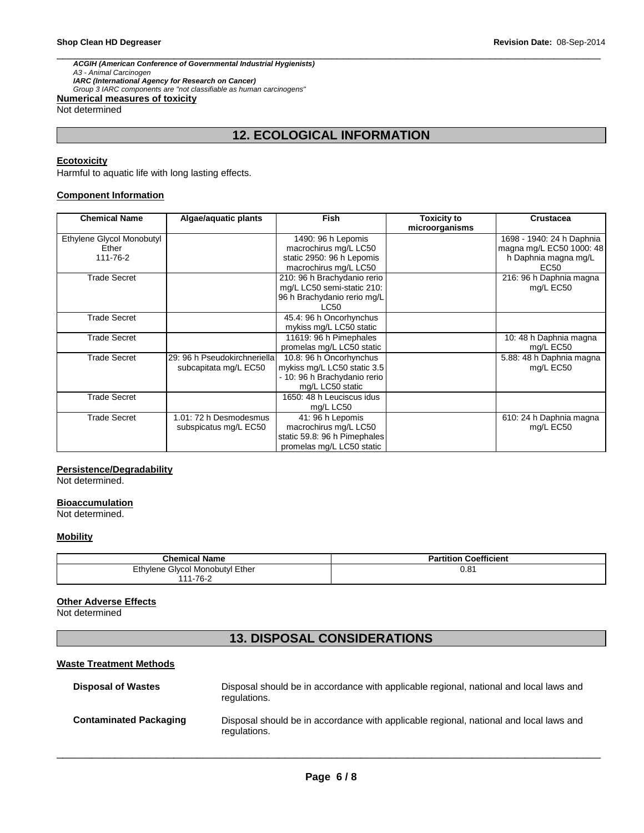\_\_\_\_\_\_\_\_\_\_\_\_\_\_\_\_\_\_\_\_\_\_\_\_\_\_\_\_\_\_\_\_\_\_\_\_\_\_\_\_\_\_\_\_\_\_\_\_\_\_\_\_\_\_\_\_\_\_\_\_\_\_\_\_\_\_\_\_\_\_\_\_\_\_\_\_\_\_\_\_\_\_\_\_\_\_\_\_\_\_\_\_\_ **ACGIH (American Conference of Governmental Industrial Hygienists)**  A3 - Animal Carcinogen **IARC (International Agency for Research on Cancer)**  Group 3 IARC components are "not classifiable as human carcinogens" **Numerical measures of toxicity**

Not determined

# **12. ECOLOGICAL INFORMATION**

# **Ecotoxicity**

Harmful to aquatic life with long lasting effects.

### **Component Information**

| <b>Chemical Name</b>                           | Algae/aquatic plants                                  | <b>Fish</b>                                                                                                | <b>Toxicity to</b><br>microorganisms | <b>Crustacea</b>                                                                                  |
|------------------------------------------------|-------------------------------------------------------|------------------------------------------------------------------------------------------------------------|--------------------------------------|---------------------------------------------------------------------------------------------------|
| Ethylene Glycol Monobutyl<br>Ether<br>111-76-2 |                                                       | 1490: 96 h Lepomis<br>macrochirus mg/L LC50<br>static 2950: 96 h Lepomis<br>macrochirus mg/L LC50          |                                      | 1698 - 1940: 24 h Daphnia<br>magna mg/L EC50 1000: 48<br>h Daphnia magna mg/L<br>EC <sub>50</sub> |
| <b>Trade Secret</b>                            |                                                       | 210: 96 h Brachydanio rerio<br>mg/L LC50 semi-static 210:<br>96 h Brachydanio rerio mg/L<br>LC50           |                                      | 216: 96 h Daphnia magna<br>mg/L EC50                                                              |
| <b>Trade Secret</b>                            |                                                       | 45.4: 96 h Oncorhynchus<br>mykiss mg/L LC50 static                                                         |                                      |                                                                                                   |
| <b>Trade Secret</b>                            |                                                       | 11619: 96 h Pimephales<br>promelas mg/L LC50 static                                                        |                                      | 10: 48 h Daphnia magna<br>mg/L EC50                                                               |
| <b>Trade Secret</b>                            | 29: 96 h Pseudokirchneriella<br>subcapitata mg/L EC50 | 10.8: 96 h Oncorhynchus<br>mykiss mg/L LC50 static 3.5<br>- 10: 96 h Brachydanio rerio<br>mg/L LC50 static |                                      | 5.88: 48 h Daphnia magna<br>mg/L EC50                                                             |
| <b>Trade Secret</b>                            |                                                       | 1650: 48 h Leuciscus idus<br>mg/L LC50                                                                     |                                      |                                                                                                   |
| <b>Trade Secret</b>                            | 1.01: 72 h Desmodesmus<br>subspicatus mg/L EC50       | 41: 96 h Lepomis<br>macrochirus mg/L LC50<br>static 59.8: 96 h Pimephales<br>promelas mg/L LC50 static     |                                      | 610: 24 h Daphnia magna<br>mg/L EC50                                                              |

### **Persistence/Degradability**

Not determined.

# **Bioaccumulation**

Not determined.

# **Mobility**

| <b>Chemical Name</b>            | <b>Coefficient</b><br>Partition |
|---------------------------------|---------------------------------|
| Ethylene Glycol Monobutyl Ether | 0.81                            |
| 111-76-2                        |                                 |

# **Other Adverse Effects**

Not determined

# **13. DISPOSAL CONSIDERATIONS**

### **Waste Treatment Methods**

| <b>Disposal of Wastes</b>     | Disposal should be in accordance with applicable regional, national and local laws and<br>regulations. |
|-------------------------------|--------------------------------------------------------------------------------------------------------|
| <b>Contaminated Packaging</b> | Disposal should be in accordance with applicable regional, national and local laws and<br>regulations. |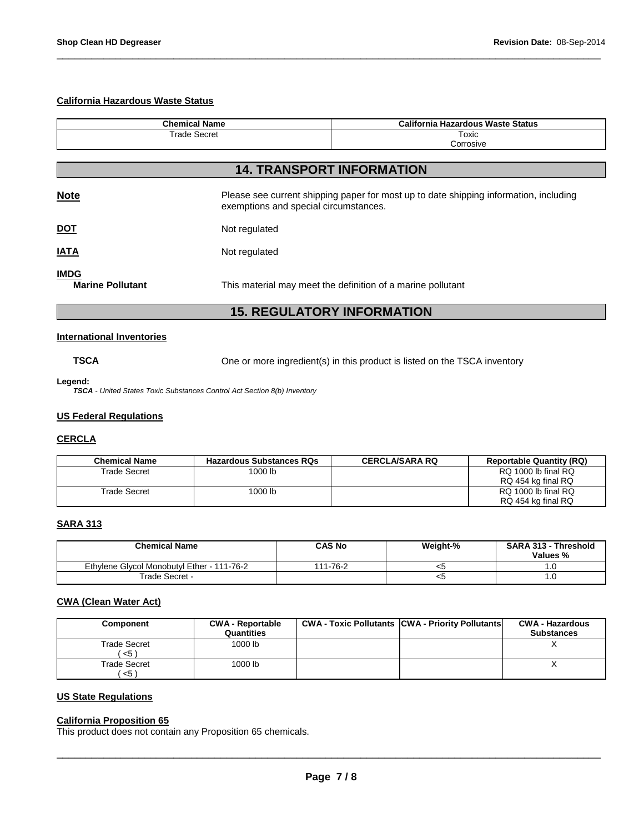# **California Hazardous Waste Status**

| <b>Chemical Name</b>                   |               | <b>California Hazardous Waste Status</b>                                                                                       |  |
|----------------------------------------|---------------|--------------------------------------------------------------------------------------------------------------------------------|--|
| <b>Trade Secret</b>                    |               | Toxic                                                                                                                          |  |
|                                        |               | Corrosive                                                                                                                      |  |
|                                        |               |                                                                                                                                |  |
|                                        |               | <b>14. TRANSPORT INFORMATION</b>                                                                                               |  |
| <b>Note</b>                            |               | Please see current shipping paper for most up to date shipping information, including<br>exemptions and special circumstances. |  |
| <u>DOT</u>                             | Not regulated |                                                                                                                                |  |
| <b>IATA</b>                            | Not regulated |                                                                                                                                |  |
| <b>IMDG</b><br><b>Marine Pollutant</b> |               | This material may meet the definition of a marine pollutant                                                                    |  |
|                                        |               | <b>15. REGULATORY INFORMATION</b>                                                                                              |  |

\_\_\_\_\_\_\_\_\_\_\_\_\_\_\_\_\_\_\_\_\_\_\_\_\_\_\_\_\_\_\_\_\_\_\_\_\_\_\_\_\_\_\_\_\_\_\_\_\_\_\_\_\_\_\_\_\_\_\_\_\_\_\_\_\_\_\_\_\_\_\_\_\_\_\_\_\_\_\_\_\_\_\_\_\_\_\_\_\_\_\_\_\_

# **International Inventories**

**TSCA** One or more ingredient(s) in this product is listed on the TSCA inventory

### **Legend:**

**TSCA** - United States Toxic Substances Control Act Section 8(b) Inventory

# **US Federal Regulations**

### **CERCLA**

| <b>Chemical Name</b> | <b>Hazardous Substances RQs</b> | <b>CERCLA/SARA RQ</b> | <b>Reportable Quantity (RQ)</b> |
|----------------------|---------------------------------|-----------------------|---------------------------------|
| Trade Secret         | 1000 lb                         |                       | RQ 1000 lb final RQ             |
|                      |                                 |                       | RQ 454 kg final RQ              |
| Trade Secret         | 1000 lb                         |                       | RQ 1000 lb final RQ             |
|                      |                                 |                       | RQ 454 kg final RQ              |

# **SARA 313**

| <b>Chemical Name</b>                       | <b>CAS No</b> | Weight-% | <b>SARA 313 - Threshold</b><br>Values % |
|--------------------------------------------|---------------|----------|-----------------------------------------|
| Ethylene Givcol Monobutyl Ether - 111-76-2 | 111-76-2      | - 33     |                                         |
| Trade Secret -                             |               | - 35     |                                         |

# **CWA (Clean Water Act)**

| Component               | <b>CWA - Reportable</b><br>Quantities | <b>CWA - Toxic Pollutants CWA - Priority Pollutants</b> | <b>CWA - Hazardous</b><br><b>Substances</b> |
|-------------------------|---------------------------------------|---------------------------------------------------------|---------------------------------------------|
| Trade Secret<br>$< 5$ ) | 1000 lb                               |                                                         |                                             |
| Trade Secret<br>$< 5$ ) | 1000 lb                               |                                                         |                                             |

# **US State Regulations**

# **California Proposition 65**

This product does not contain any Proposition 65 chemicals.